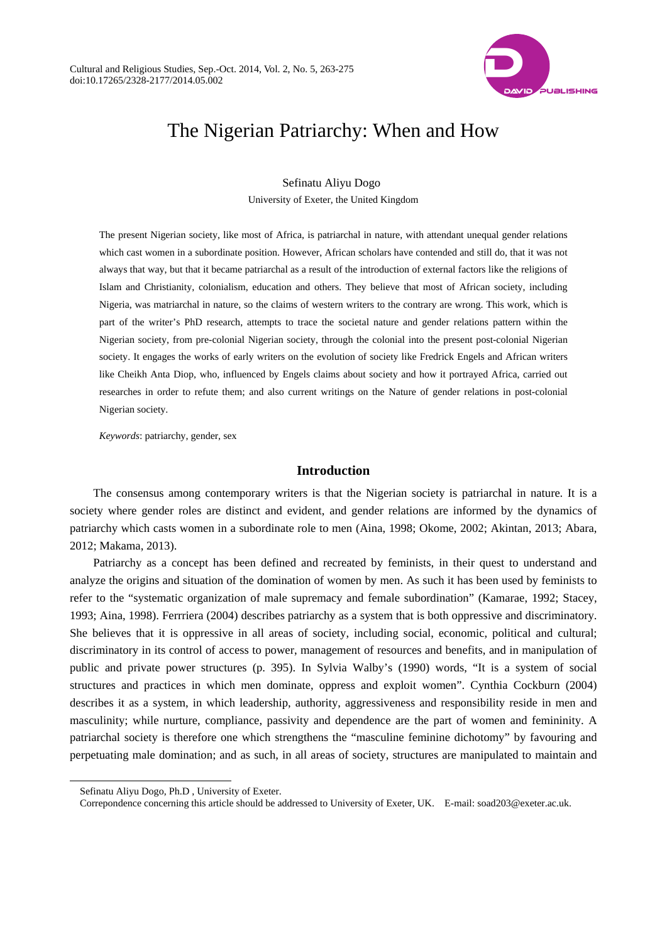

# The Nigerian Patriarchy: When and How

Sefinatu Aliyu Dogo University of Exeter, the United Kingdom

The present Nigerian society, like most of Africa, is patriarchal in nature, with attendant unequal gender relations which cast women in a subordinate position. However, African scholars have contended and still do, that it was not always that way, but that it became patriarchal as a result of the introduction of external factors like the religions of Islam and Christianity, colonialism, education and others. They believe that most of African society, including Nigeria, was matriarchal in nature, so the claims of western writers to the contrary are wrong. This work, which is part of the writer's PhD research, attempts to trace the societal nature and gender relations pattern within the Nigerian society, from pre-colonial Nigerian society, through the colonial into the present post-colonial Nigerian society. It engages the works of early writers on the evolution of society like Fredrick Engels and African writers like Cheikh Anta Diop, who, influenced by Engels claims about society and how it portrayed Africa, carried out researches in order to refute them; and also current writings on the Nature of gender relations in post-colonial Nigerian society.

*Keywords*: patriarchy, gender, sex

## **Introduction**

The consensus among contemporary writers is that the Nigerian society is patriarchal in nature. It is a society where gender roles are distinct and evident, and gender relations are informed by the dynamics of patriarchy which casts women in a subordinate role to men (Aina, 1998; Okome, 2002; Akintan, 2013; Abara, 2012; Makama, 2013).

Patriarchy as a concept has been defined and recreated by feminists, in their quest to understand and analyze the origins and situation of the domination of women by men. As such it has been used by feminists to refer to the "systematic organization of male supremacy and female subordination" (Kamarae, 1992; Stacey, 1993; Aina, 1998). Ferrriera (2004) describes patriarchy as a system that is both oppressive and discriminatory. She believes that it is oppressive in all areas of society, including social, economic, political and cultural; discriminatory in its control of access to power, management of resources and benefits, and in manipulation of public and private power structures (p. 395). In Sylvia Walby's (1990) words, "It is a system of social structures and practices in which men dominate, oppress and exploit women". Cynthia Cockburn (2004) describes it as a system, in which leadership, authority, aggressiveness and responsibility reside in men and masculinity; while nurture, compliance, passivity and dependence are the part of women and femininity. A patriarchal society is therefore one which strengthens the "masculine feminine dichotomy" by favouring and perpetuating male domination; and as such, in all areas of society, structures are manipulated to maintain and

 $\overline{a}$ 

Sefinatu Aliyu Dogo, Ph.D , University of Exeter.

Correpondence concerning this article should be addressed to University of Exeter, UK. E-mail: soad203@exeter.ac.uk.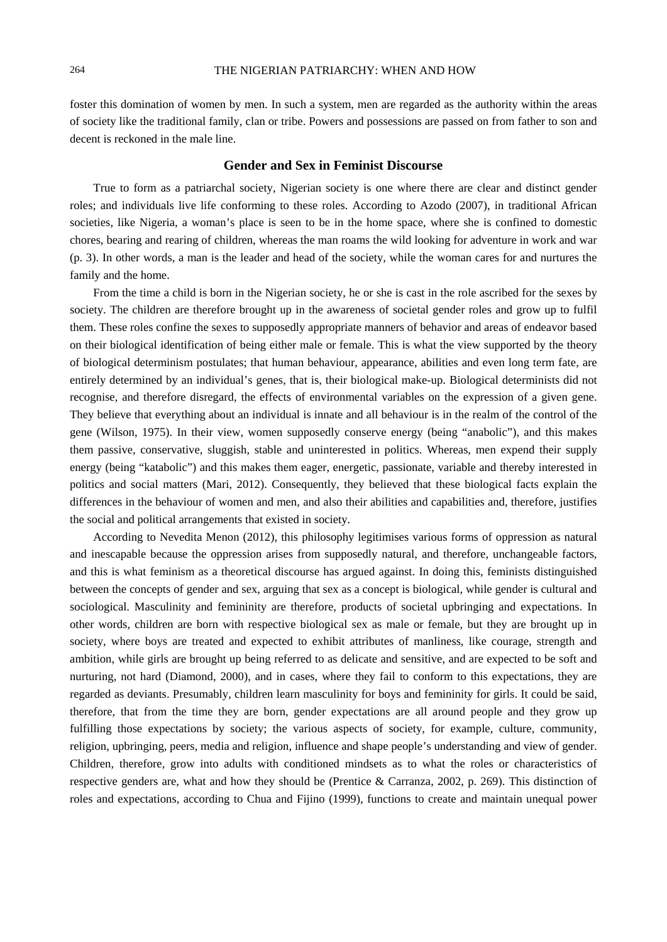foster this domination of women by men. In such a system, men are regarded as the authority within the areas of society like the traditional family, clan or tribe. Powers and possessions are passed on from father to son and decent is reckoned in the male line.

## **Gender and Sex in Feminist Discourse**

True to form as a patriarchal society, Nigerian society is one where there are clear and distinct gender roles; and individuals live life conforming to these roles. According to Azodo (2007), in traditional African societies, like Nigeria, a woman's place is seen to be in the home space, where she is confined to domestic chores, bearing and rearing of children, whereas the man roams the wild looking for adventure in work and war (p. 3). In other words, a man is the leader and head of the society, while the woman cares for and nurtures the family and the home.

From the time a child is born in the Nigerian society, he or she is cast in the role ascribed for the sexes by society. The children are therefore brought up in the awareness of societal gender roles and grow up to fulfil them. These roles confine the sexes to supposedly appropriate manners of behavior and areas of endeavor based on their biological identification of being either male or female. This is what the view supported by the theory of biological determinism postulates; that human behaviour, appearance, abilities and even long term fate, are entirely determined by an individual's genes, that is, their biological make-up. Biological determinists did not recognise, and therefore disregard, the effects of environmental variables on the expression of a given gene. They believe that everything about an individual is innate and all behaviour is in the realm of the control of the gene (Wilson, 1975). In their view, women supposedly conserve energy (being "anabolic"), and this makes them passive, conservative, sluggish, stable and uninterested in politics. Whereas, men expend their supply energy (being "katabolic") and this makes them eager, energetic, passionate, variable and thereby interested in politics and social matters (Mari, 2012). Consequently, they believed that these biological facts explain the differences in the behaviour of women and men, and also their abilities and capabilities and, therefore, justifies the social and political arrangements that existed in society.

According to Nevedita Menon (2012), this philosophy legitimises various forms of oppression as natural and inescapable because the oppression arises from supposedly natural, and therefore, unchangeable factors, and this is what feminism as a theoretical discourse has argued against. In doing this, feminists distinguished between the concepts of gender and sex, arguing that sex as a concept is biological, while gender is cultural and sociological. Masculinity and femininity are therefore, products of societal upbringing and expectations. In other words, children are born with respective biological sex as male or female, but they are brought up in society, where boys are treated and expected to exhibit attributes of manliness, like courage, strength and ambition, while girls are brought up being referred to as delicate and sensitive, and are expected to be soft and nurturing, not hard (Diamond, 2000), and in cases, where they fail to conform to this expectations, they are regarded as deviants. Presumably, children learn masculinity for boys and femininity for girls. It could be said, therefore, that from the time they are born, gender expectations are all around people and they grow up fulfilling those expectations by society; the various aspects of society, for example, culture, community, religion, upbringing, peers, media and religion, influence and shape people's understanding and view of gender. Children, therefore, grow into adults with conditioned mindsets as to what the roles or characteristics of respective genders are, what and how they should be (Prentice & Carranza, 2002, p. 269). This distinction of roles and expectations, according to Chua and Fijino (1999), functions to create and maintain unequal power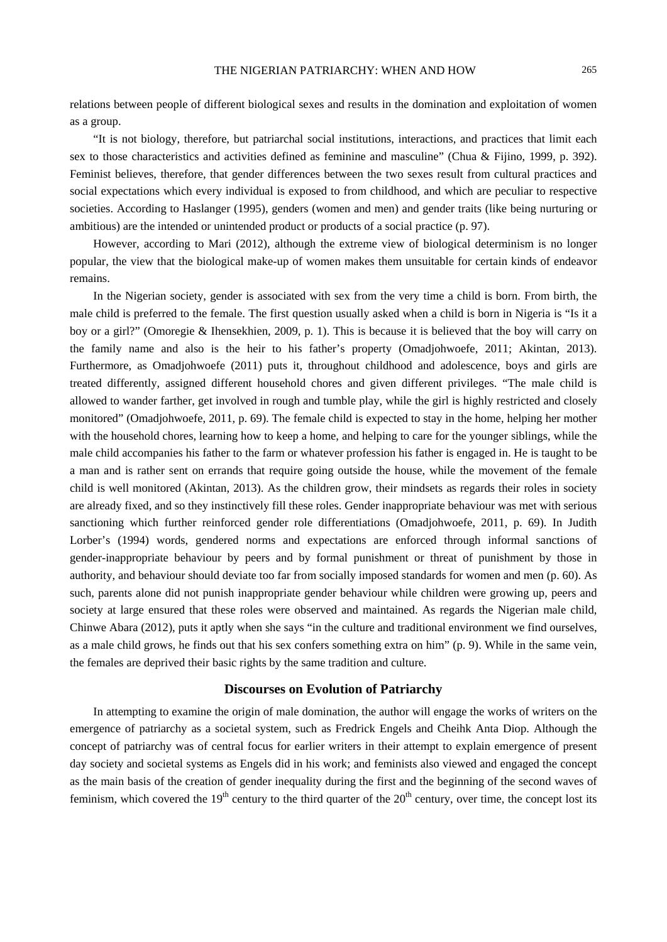relations between people of different biological sexes and results in the domination and exploitation of women as a group.

"It is not biology, therefore, but patriarchal social institutions, interactions, and practices that limit each sex to those characteristics and activities defined as feminine and masculine" (Chua & Fijino, 1999, p. 392). Feminist believes, therefore, that gender differences between the two sexes result from cultural practices and social expectations which every individual is exposed to from childhood, and which are peculiar to respective societies. According to Haslanger (1995), genders (women and men) and gender traits (like being nurturing or ambitious) are the intended or unintended product or products of a social practice (p. 97).

However, according to Mari (2012), although the extreme view of biological determinism is no longer popular, the view that the biological make-up of women makes them unsuitable for certain kinds of endeavor remains.

In the Nigerian society, gender is associated with sex from the very time a child is born. From birth, the male child is preferred to the female. The first question usually asked when a child is born in Nigeria is "Is it a boy or a girl?" (Omoregie & Ihensekhien, 2009, p. 1). This is because it is believed that the boy will carry on the family name and also is the heir to his father's property (Omadjohwoefe, 2011; Akintan, 2013). Furthermore, as Omadjohwoefe (2011) puts it, throughout childhood and adolescence, boys and girls are treated differently, assigned different household chores and given different privileges. "The male child is allowed to wander farther, get involved in rough and tumble play, while the girl is highly restricted and closely monitored" (Omadjohwoefe, 2011, p. 69). The female child is expected to stay in the home, helping her mother with the household chores, learning how to keep a home, and helping to care for the younger siblings, while the male child accompanies his father to the farm or whatever profession his father is engaged in. He is taught to be a man and is rather sent on errands that require going outside the house, while the movement of the female child is well monitored (Akintan, 2013). As the children grow, their mindsets as regards their roles in society are already fixed, and so they instinctively fill these roles. Gender inappropriate behaviour was met with serious sanctioning which further reinforced gender role differentiations (Omadjohwoefe, 2011, p. 69). In Judith Lorber's (1994) words, gendered norms and expectations are enforced through informal sanctions of gender-inappropriate behaviour by peers and by formal punishment or threat of punishment by those in authority, and behaviour should deviate too far from socially imposed standards for women and men (p. 60). As such, parents alone did not punish inappropriate gender behaviour while children were growing up, peers and society at large ensured that these roles were observed and maintained. As regards the Nigerian male child, Chinwe Abara (2012), puts it aptly when she says "in the culture and traditional environment we find ourselves, as a male child grows, he finds out that his sex confers something extra on him" (p. 9). While in the same vein, the females are deprived their basic rights by the same tradition and culture.

## **Discourses on Evolution of Patriarchy**

In attempting to examine the origin of male domination, the author will engage the works of writers on the emergence of patriarchy as a societal system, such as Fredrick Engels and Cheihk Anta Diop. Although the concept of patriarchy was of central focus for earlier writers in their attempt to explain emergence of present day society and societal systems as Engels did in his work; and feminists also viewed and engaged the concept as the main basis of the creation of gender inequality during the first and the beginning of the second waves of feminism, which covered the  $19<sup>th</sup>$  century to the third quarter of the  $20<sup>th</sup>$  century, over time, the concept lost its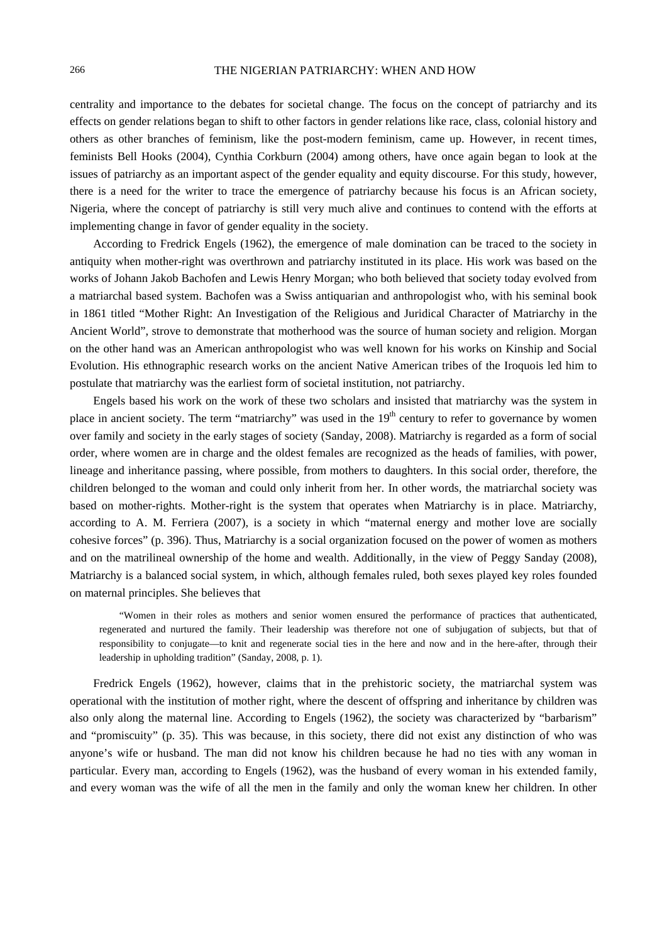centrality and importance to the debates for societal change. The focus on the concept of patriarchy and its effects on gender relations began to shift to other factors in gender relations like race, class, colonial history and others as other branches of feminism, like the post-modern feminism, came up. However, in recent times, feminists Bell Hooks (2004), Cynthia Corkburn (2004) among others, have once again began to look at the issues of patriarchy as an important aspect of the gender equality and equity discourse. For this study, however, there is a need for the writer to trace the emergence of patriarchy because his focus is an African society, Nigeria, where the concept of patriarchy is still very much alive and continues to contend with the efforts at implementing change in favor of gender equality in the society.

According to Fredrick Engels (1962), the emergence of male domination can be traced to the society in antiquity when mother-right was overthrown and patriarchy instituted in its place. His work was based on the works of Johann Jakob Bachofen and Lewis Henry Morgan; who both believed that society today evolved from a matriarchal based system. Bachofen was a Swiss antiquarian and anthropologist who, with his seminal book in 1861 titled "Mother Right: An Investigation of the Religious and Juridical Character of Matriarchy in the Ancient World", strove to demonstrate that motherhood was the source of human society and religion. Morgan on the other hand was an American anthropologist who was well known for his works on Kinship and Social Evolution. His ethnographic research works on the ancient Native American tribes of the Iroquois led him to postulate that matriarchy was the earliest form of societal institution, not patriarchy.

Engels based his work on the work of these two scholars and insisted that matriarchy was the system in place in ancient society. The term "matriarchy" was used in the  $19<sup>th</sup>$  century to refer to governance by women over family and society in the early stages of society (Sanday, 2008). Matriarchy is regarded as a form of social order, where women are in charge and the oldest females are recognized as the heads of families, with power, lineage and inheritance passing, where possible, from mothers to daughters. In this social order, therefore, the children belonged to the woman and could only inherit from her. In other words, the matriarchal society was based on mother-rights. Mother-right is the system that operates when Matriarchy is in place. Matriarchy, according to A. M. Ferriera (2007), is a society in which "maternal energy and mother love are socially cohesive forces" (p. 396). Thus, Matriarchy is a social organization focused on the power of women as mothers and on the matrilineal ownership of the home and wealth. Additionally, in the view of Peggy Sanday (2008), Matriarchy is a balanced social system, in which, although females ruled, both sexes played key roles founded on maternal principles. She believes that

"Women in their roles as mothers and senior women ensured the performance of practices that authenticated, regenerated and nurtured the family. Their leadership was therefore not one of subjugation of subjects, but that of responsibility to conjugate—to knit and regenerate social ties in the here and now and in the here-after, through their leadership in upholding tradition" (Sanday, 2008, p. 1).

Fredrick Engels (1962), however, claims that in the prehistoric society, the matriarchal system was operational with the institution of mother right, where the descent of offspring and inheritance by children was also only along the maternal line. According to Engels (1962), the society was characterized by "barbarism" and "promiscuity" (p. 35). This was because, in this society, there did not exist any distinction of who was anyone's wife or husband. The man did not know his children because he had no ties with any woman in particular. Every man, according to Engels (1962), was the husband of every woman in his extended family, and every woman was the wife of all the men in the family and only the woman knew her children. In other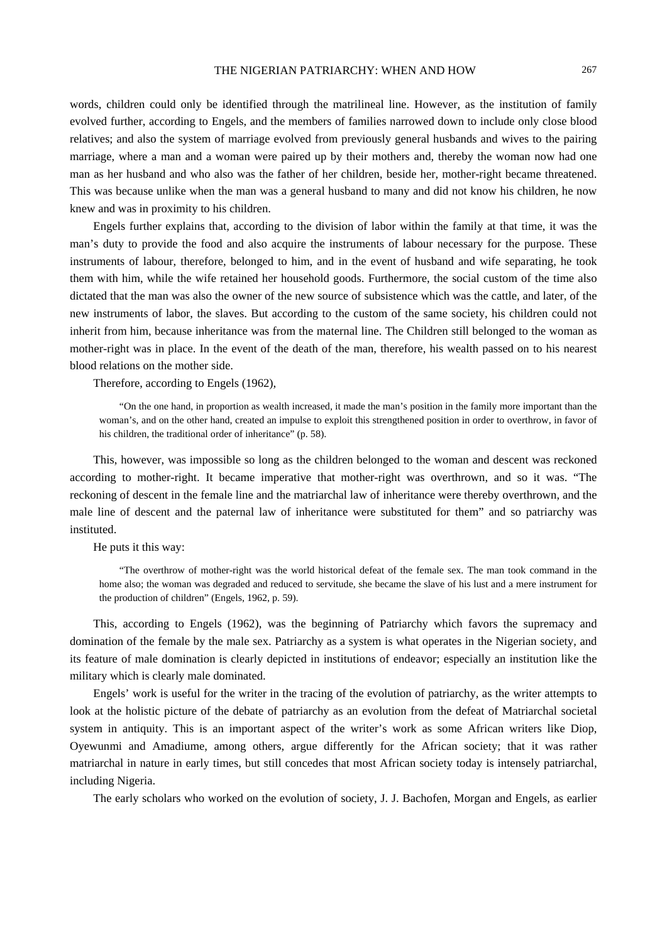words, children could only be identified through the matrilineal line. However, as the institution of family evolved further, according to Engels, and the members of families narrowed down to include only close blood relatives; and also the system of marriage evolved from previously general husbands and wives to the pairing marriage, where a man and a woman were paired up by their mothers and, thereby the woman now had one man as her husband and who also was the father of her children, beside her, mother-right became threatened. This was because unlike when the man was a general husband to many and did not know his children, he now knew and was in proximity to his children.

Engels further explains that, according to the division of labor within the family at that time, it was the man's duty to provide the food and also acquire the instruments of labour necessary for the purpose. These instruments of labour, therefore, belonged to him, and in the event of husband and wife separating, he took them with him, while the wife retained her household goods. Furthermore, the social custom of the time also dictated that the man was also the owner of the new source of subsistence which was the cattle, and later, of the new instruments of labor, the slaves. But according to the custom of the same society, his children could not inherit from him, because inheritance was from the maternal line. The Children still belonged to the woman as mother-right was in place. In the event of the death of the man, therefore, his wealth passed on to his nearest blood relations on the mother side.

Therefore, according to Engels (1962),

"On the one hand, in proportion as wealth increased, it made the man's position in the family more important than the woman's, and on the other hand, created an impulse to exploit this strengthened position in order to overthrow, in favor of his children, the traditional order of inheritance" (p. 58).

This, however, was impossible so long as the children belonged to the woman and descent was reckoned according to mother-right. It became imperative that mother-right was overthrown, and so it was. "The reckoning of descent in the female line and the matriarchal law of inheritance were thereby overthrown, and the male line of descent and the paternal law of inheritance were substituted for them" and so patriarchy was instituted.

He puts it this way:

"The overthrow of mother-right was the world historical defeat of the female sex. The man took command in the home also; the woman was degraded and reduced to servitude, she became the slave of his lust and a mere instrument for the production of children" (Engels, 1962, p. 59).

This, according to Engels (1962), was the beginning of Patriarchy which favors the supremacy and domination of the female by the male sex. Patriarchy as a system is what operates in the Nigerian society, and its feature of male domination is clearly depicted in institutions of endeavor; especially an institution like the military which is clearly male dominated.

Engels' work is useful for the writer in the tracing of the evolution of patriarchy, as the writer attempts to look at the holistic picture of the debate of patriarchy as an evolution from the defeat of Matriarchal societal system in antiquity. This is an important aspect of the writer's work as some African writers like Diop, Oyewunmi and Amadiume, among others, argue differently for the African society; that it was rather matriarchal in nature in early times, but still concedes that most African society today is intensely patriarchal, including Nigeria.

The early scholars who worked on the evolution of society, J. J. Bachofen, Morgan and Engels, as earlier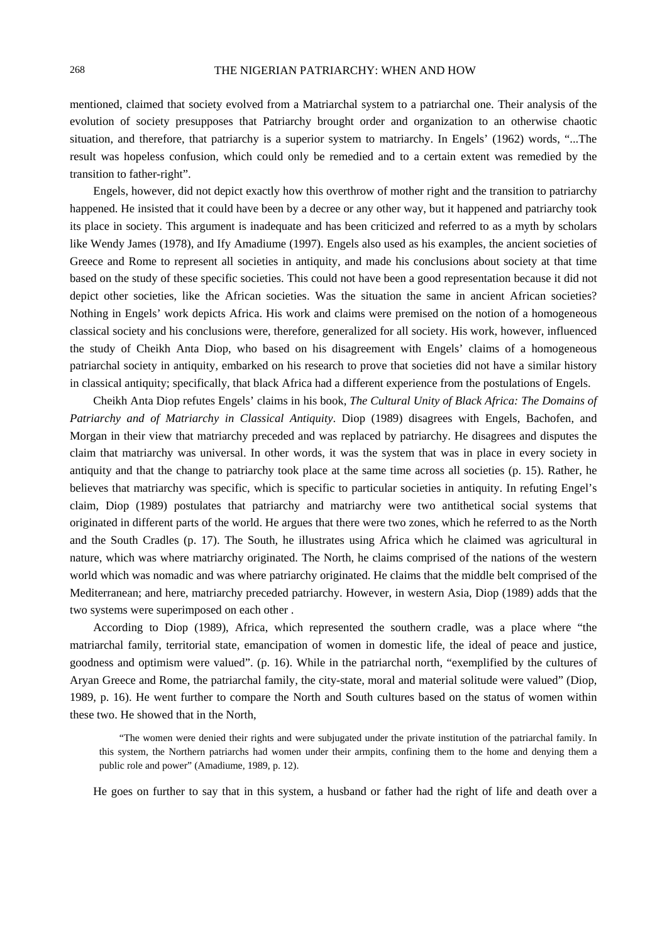mentioned, claimed that society evolved from a Matriarchal system to a patriarchal one. Their analysis of the evolution of society presupposes that Patriarchy brought order and organization to an otherwise chaotic situation, and therefore, that patriarchy is a superior system to matriarchy. In Engels' (1962) words, "...The result was hopeless confusion, which could only be remedied and to a certain extent was remedied by the transition to father-right".

Engels, however, did not depict exactly how this overthrow of mother right and the transition to patriarchy happened. He insisted that it could have been by a decree or any other way, but it happened and patriarchy took its place in society. This argument is inadequate and has been criticized and referred to as a myth by scholars like Wendy James (1978), and Ify Amadiume (1997). Engels also used as his examples, the ancient societies of Greece and Rome to represent all societies in antiquity, and made his conclusions about society at that time based on the study of these specific societies. This could not have been a good representation because it did not depict other societies, like the African societies. Was the situation the same in ancient African societies? Nothing in Engels' work depicts Africa. His work and claims were premised on the notion of a homogeneous classical society and his conclusions were, therefore, generalized for all society. His work, however, influenced the study of Cheikh Anta Diop, who based on his disagreement with Engels' claims of a homogeneous patriarchal society in antiquity, embarked on his research to prove that societies did not have a similar history in classical antiquity; specifically, that black Africa had a different experience from the postulations of Engels.

Cheikh Anta Diop refutes Engels' claims in his book, *The Cultural Unity of Black Africa: The Domains of Patriarchy and of Matriarchy in Classical Antiquity*. Diop (1989) disagrees with Engels, Bachofen, and Morgan in their view that matriarchy preceded and was replaced by patriarchy. He disagrees and disputes the claim that matriarchy was universal. In other words, it was the system that was in place in every society in antiquity and that the change to patriarchy took place at the same time across all societies (p. 15). Rather, he believes that matriarchy was specific, which is specific to particular societies in antiquity. In refuting Engel's claim, Diop (1989) postulates that patriarchy and matriarchy were two antithetical social systems that originated in different parts of the world. He argues that there were two zones, which he referred to as the North and the South Cradles (p. 17). The South, he illustrates using Africa which he claimed was agricultural in nature, which was where matriarchy originated. The North, he claims comprised of the nations of the western world which was nomadic and was where patriarchy originated. He claims that the middle belt comprised of the Mediterranean; and here, matriarchy preceded patriarchy. However, in western Asia, Diop (1989) adds that the two systems were superimposed on each other .

According to Diop (1989), Africa, which represented the southern cradle, was a place where "the matriarchal family, territorial state, emancipation of women in domestic life, the ideal of peace and justice, goodness and optimism were valued". (p. 16). While in the patriarchal north, "exemplified by the cultures of Aryan Greece and Rome, the patriarchal family, the city-state, moral and material solitude were valued" (Diop, 1989, p. 16). He went further to compare the North and South cultures based on the status of women within these two. He showed that in the North,

"The women were denied their rights and were subjugated under the private institution of the patriarchal family. In this system, the Northern patriarchs had women under their armpits, confining them to the home and denying them a public role and power" (Amadiume, 1989, p. 12).

He goes on further to say that in this system, a husband or father had the right of life and death over a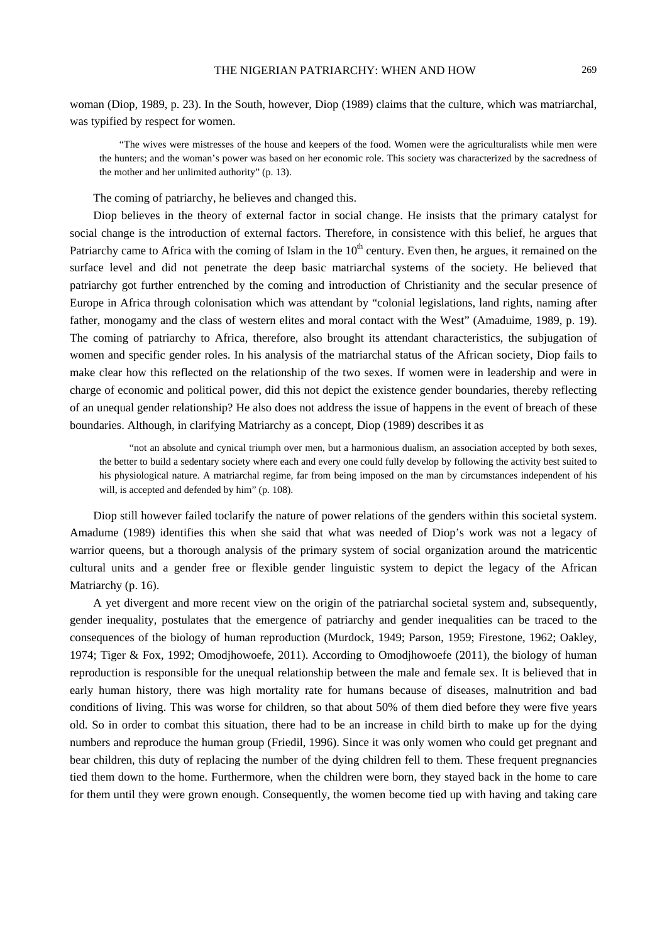woman (Diop, 1989, p. 23). In the South, however, Diop (1989) claims that the culture, which was matriarchal, was typified by respect for women.

"The wives were mistresses of the house and keepers of the food. Women were the agriculturalists while men were the hunters; and the woman's power was based on her economic role. This society was characterized by the sacredness of the mother and her unlimited authority" (p. 13).

The coming of patriarchy, he believes and changed this.

Diop believes in the theory of external factor in social change. He insists that the primary catalyst for social change is the introduction of external factors. Therefore, in consistence with this belief, he argues that Patriarchy came to Africa with the coming of Islam in the  $10<sup>th</sup>$  century. Even then, he argues, it remained on the surface level and did not penetrate the deep basic matriarchal systems of the society. He believed that patriarchy got further entrenched by the coming and introduction of Christianity and the secular presence of Europe in Africa through colonisation which was attendant by "colonial legislations, land rights, naming after father, monogamy and the class of western elites and moral contact with the West" (Amaduime, 1989, p. 19). The coming of patriarchy to Africa, therefore, also brought its attendant characteristics, the subjugation of women and specific gender roles. In his analysis of the matriarchal status of the African society, Diop fails to make clear how this reflected on the relationship of the two sexes. If women were in leadership and were in charge of economic and political power, did this not depict the existence gender boundaries, thereby reflecting of an unequal gender relationship? He also does not address the issue of happens in the event of breach of these boundaries. Although, in clarifying Matriarchy as a concept, Diop (1989) describes it as

 "not an absolute and cynical triumph over men, but a harmonious dualism, an association accepted by both sexes, the better to build a sedentary society where each and every one could fully develop by following the activity best suited to his physiological nature. A matriarchal regime, far from being imposed on the man by circumstances independent of his will, is accepted and defended by him" (p. 108).

Diop still however failed toclarify the nature of power relations of the genders within this societal system. Amadume (1989) identifies this when she said that what was needed of Diop's work was not a legacy of warrior queens, but a thorough analysis of the primary system of social organization around the matricentic cultural units and a gender free or flexible gender linguistic system to depict the legacy of the African Matriarchy (p. 16).

A yet divergent and more recent view on the origin of the patriarchal societal system and, subsequently, gender inequality, postulates that the emergence of patriarchy and gender inequalities can be traced to the consequences of the biology of human reproduction (Murdock, 1949; Parson, 1959; Firestone, 1962; Oakley, 1974; Tiger & Fox, 1992; Omodjhowoefe, 2011). According to Omodjhowoefe (2011), the biology of human reproduction is responsible for the unequal relationship between the male and female sex. It is believed that in early human history, there was high mortality rate for humans because of diseases, malnutrition and bad conditions of living. This was worse for children, so that about 50% of them died before they were five years old. So in order to combat this situation, there had to be an increase in child birth to make up for the dying numbers and reproduce the human group (Friedil, 1996). Since it was only women who could get pregnant and bear children, this duty of replacing the number of the dying children fell to them. These frequent pregnancies tied them down to the home. Furthermore, when the children were born, they stayed back in the home to care for them until they were grown enough. Consequently, the women become tied up with having and taking care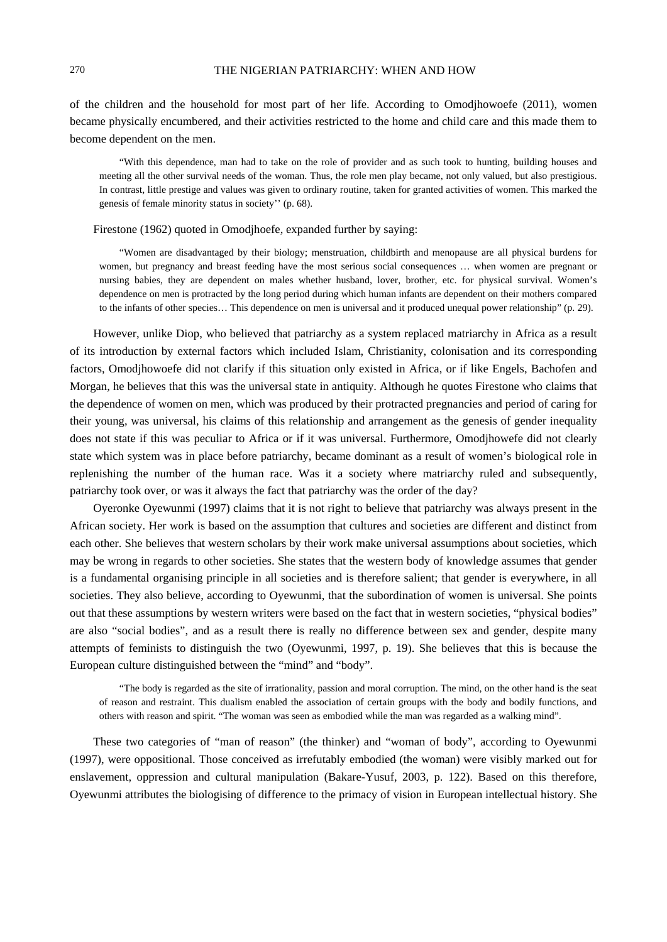of the children and the household for most part of her life. According to Omodjhowoefe (2011), women became physically encumbered, and their activities restricted to the home and child care and this made them to become dependent on the men.

"With this dependence, man had to take on the role of provider and as such took to hunting, building houses and meeting all the other survival needs of the woman. Thus, the role men play became, not only valued, but also prestigious. In contrast, little prestige and values was given to ordinary routine, taken for granted activities of women. This marked the genesis of female minority status in society'' (p. 68).

#### Firestone (1962) quoted in Omodjhoefe, expanded further by saying:

"Women are disadvantaged by their biology; menstruation, childbirth and menopause are all physical burdens for women, but pregnancy and breast feeding have the most serious social consequences ... when women are pregnant or nursing babies, they are dependent on males whether husband, lover, brother, etc. for physical survival. Women's dependence on men is protracted by the long period during which human infants are dependent on their mothers compared to the infants of other species… This dependence on men is universal and it produced unequal power relationship" (p. 29).

However, unlike Diop, who believed that patriarchy as a system replaced matriarchy in Africa as a result of its introduction by external factors which included Islam, Christianity, colonisation and its corresponding factors, Omodjhowoefe did not clarify if this situation only existed in Africa, or if like Engels, Bachofen and Morgan, he believes that this was the universal state in antiquity. Although he quotes Firestone who claims that the dependence of women on men, which was produced by their protracted pregnancies and period of caring for their young, was universal, his claims of this relationship and arrangement as the genesis of gender inequality does not state if this was peculiar to Africa or if it was universal. Furthermore, Omodjhowefe did not clearly state which system was in place before patriarchy, became dominant as a result of women's biological role in replenishing the number of the human race. Was it a society where matriarchy ruled and subsequently, patriarchy took over, or was it always the fact that patriarchy was the order of the day?

Oyeronke Oyewunmi (1997) claims that it is not right to believe that patriarchy was always present in the African society. Her work is based on the assumption that cultures and societies are different and distinct from each other. She believes that western scholars by their work make universal assumptions about societies, which may be wrong in regards to other societies. She states that the western body of knowledge assumes that gender is a fundamental organising principle in all societies and is therefore salient; that gender is everywhere, in all societies. They also believe, according to Oyewunmi, that the subordination of women is universal. She points out that these assumptions by western writers were based on the fact that in western societies, "physical bodies" are also "social bodies", and as a result there is really no difference between sex and gender, despite many attempts of feminists to distinguish the two (Oyewunmi, 1997, p. 19). She believes that this is because the European culture distinguished between the "mind" and "body".

"The body is regarded as the site of irrationality, passion and moral corruption. The mind, on the other hand is the seat of reason and restraint. This dualism enabled the association of certain groups with the body and bodily functions, and others with reason and spirit. "The woman was seen as embodied while the man was regarded as a walking mind".

These two categories of "man of reason" (the thinker) and "woman of body", according to Oyewunmi (1997), were oppositional. Those conceived as irrefutably embodied (the woman) were visibly marked out for enslavement, oppression and cultural manipulation (Bakare-Yusuf, 2003, p. 122). Based on this therefore, Oyewunmi attributes the biologising of difference to the primacy of vision in European intellectual history. She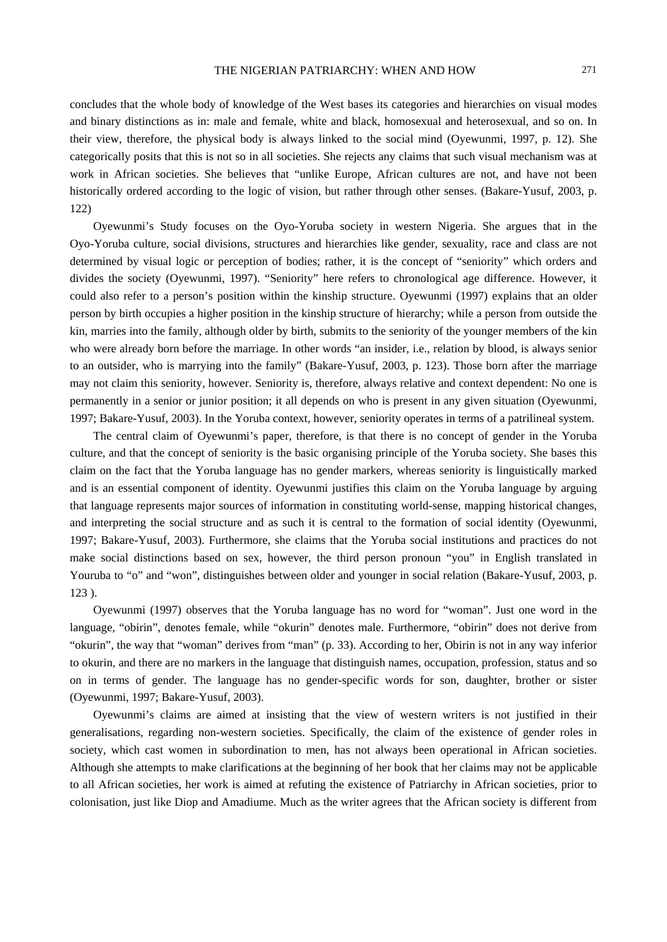concludes that the whole body of knowledge of the West bases its categories and hierarchies on visual modes and binary distinctions as in: male and female, white and black, homosexual and heterosexual, and so on. In their view, therefore, the physical body is always linked to the social mind (Oyewunmi, 1997, p. 12). She categorically posits that this is not so in all societies. She rejects any claims that such visual mechanism was at work in African societies. She believes that "unlike Europe, African cultures are not, and have not been historically ordered according to the logic of vision, but rather through other senses. (Bakare-Yusuf, 2003, p. 122)

Oyewunmi's Study focuses on the Oyo-Yoruba society in western Nigeria. She argues that in the Oyo-Yoruba culture, social divisions, structures and hierarchies like gender, sexuality, race and class are not determined by visual logic or perception of bodies; rather, it is the concept of "seniority" which orders and divides the society (Oyewunmi, 1997). "Seniority" here refers to chronological age difference. However, it could also refer to a person's position within the kinship structure. Oyewunmi (1997) explains that an older person by birth occupies a higher position in the kinship structure of hierarchy; while a person from outside the kin, marries into the family, although older by birth, submits to the seniority of the younger members of the kin who were already born before the marriage. In other words "an insider, i.e., relation by blood, is always senior to an outsider, who is marrying into the family" (Bakare-Yusuf, 2003, p. 123). Those born after the marriage may not claim this seniority, however. Seniority is, therefore, always relative and context dependent: No one is permanently in a senior or junior position; it all depends on who is present in any given situation (Oyewunmi, 1997; Bakare-Yusuf, 2003). In the Yoruba context, however, seniority operates in terms of a patrilineal system.

The central claim of Oyewunmi's paper, therefore, is that there is no concept of gender in the Yoruba culture, and that the concept of seniority is the basic organising principle of the Yoruba society. She bases this claim on the fact that the Yoruba language has no gender markers, whereas seniority is linguistically marked and is an essential component of identity. Oyewunmi justifies this claim on the Yoruba language by arguing that language represents major sources of information in constituting world-sense, mapping historical changes, and interpreting the social structure and as such it is central to the formation of social identity (Oyewunmi, 1997; Bakare-Yusuf, 2003). Furthermore, she claims that the Yoruba social institutions and practices do not make social distinctions based on sex, however, the third person pronoun "you" in English translated in Youruba to "o" and "won", distinguishes between older and younger in social relation (Bakare-Yusuf, 2003, p. 123 ).

Oyewunmi (1997) observes that the Yoruba language has no word for "woman". Just one word in the language, "obirin", denotes female, while "okurin" denotes male. Furthermore, "obirin" does not derive from "okurin", the way that "woman" derives from "man" (p. 33). According to her, Obirin is not in any way inferior to okurin, and there are no markers in the language that distinguish names, occupation, profession, status and so on in terms of gender. The language has no gender-specific words for son, daughter, brother or sister (Oyewunmi, 1997; Bakare-Yusuf, 2003).

Oyewunmi's claims are aimed at insisting that the view of western writers is not justified in their generalisations, regarding non-western societies. Specifically, the claim of the existence of gender roles in society, which cast women in subordination to men, has not always been operational in African societies. Although she attempts to make clarifications at the beginning of her book that her claims may not be applicable to all African societies, her work is aimed at refuting the existence of Patriarchy in African societies, prior to colonisation, just like Diop and Amadiume. Much as the writer agrees that the African society is different from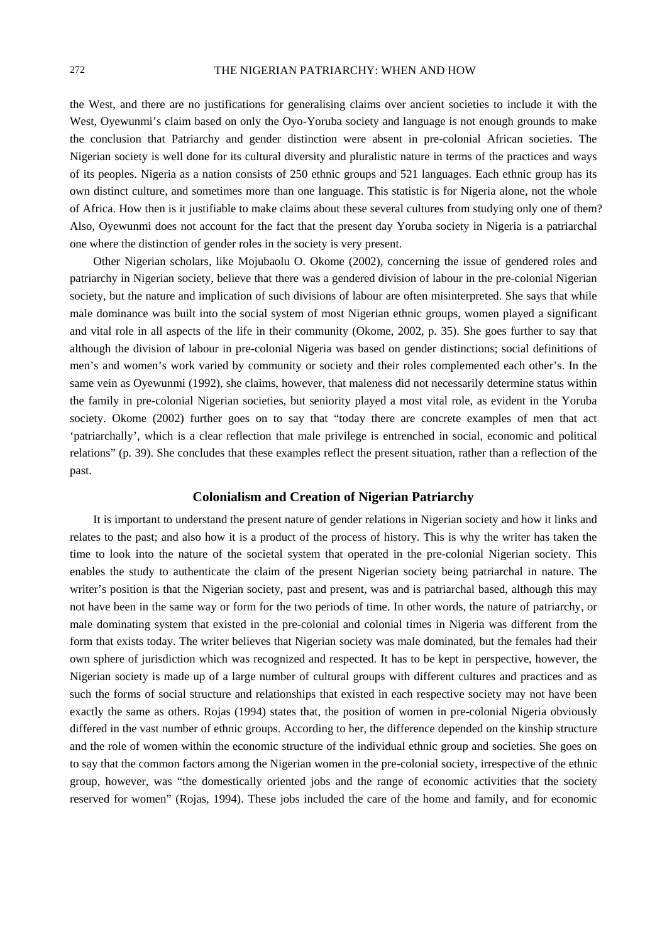the West, and there are no justifications for generalising claims over ancient societies to include it with the West, Oyewunmi's claim based on only the Oyo-Yoruba society and language is not enough grounds to make the conclusion that Patriarchy and gender distinction were absent in pre-colonial African societies. The Nigerian society is well done for its cultural diversity and pluralistic nature in terms of the practices and ways of its peoples. Nigeria as a nation consists of 250 ethnic groups and 521 languages. Each ethnic group has its own distinct culture, and sometimes more than one language. This statistic is for Nigeria alone, not the whole of Africa. How then is it justifiable to make claims about these several cultures from studying only one of them? Also, Oyewunmi does not account for the fact that the present day Yoruba society in Nigeria is a patriarchal one where the distinction of gender roles in the society is very present.

Other Nigerian scholars, like Mojubaolu O. Okome (2002), concerning the issue of gendered roles and patriarchy in Nigerian society, believe that there was a gendered division of labour in the pre-colonial Nigerian society, but the nature and implication of such divisions of labour are often misinterpreted. She says that while male dominance was built into the social system of most Nigerian ethnic groups, women played a significant and vital role in all aspects of the life in their community (Okome, 2002, p. 35). She goes further to say that although the division of labour in pre-colonial Nigeria was based on gender distinctions; social definitions of men's and women's work varied by community or society and their roles complemented each other's. In the same vein as Oyewunmi (1992), she claims, however, that maleness did not necessarily determine status within the family in pre-colonial Nigerian societies, but seniority played a most vital role, as evident in the Yoruba society. Okome (2002) further goes on to say that "today there are concrete examples of men that act 'patriarchally', which is a clear reflection that male privilege is entrenched in social, economic and political relations" (p. 39). She concludes that these examples reflect the present situation, rather than a reflection of the past.

# **Colonialism and Creation of Nigerian Patriarchy**

It is important to understand the present nature of gender relations in Nigerian society and how it links and relates to the past; and also how it is a product of the process of history. This is why the writer has taken the time to look into the nature of the societal system that operated in the pre-colonial Nigerian society. This enables the study to authenticate the claim of the present Nigerian society being patriarchal in nature. The writer's position is that the Nigerian society, past and present, was and is patriarchal based, although this may not have been in the same way or form for the two periods of time. In other words, the nature of patriarchy, or male dominating system that existed in the pre-colonial and colonial times in Nigeria was different from the form that exists today. The writer believes that Nigerian society was male dominated, but the females had their own sphere of jurisdiction which was recognized and respected. It has to be kept in perspective, however, the Nigerian society is made up of a large number of cultural groups with different cultures and practices and as such the forms of social structure and relationships that existed in each respective society may not have been exactly the same as others. Rojas (1994) states that, the position of women in pre-colonial Nigeria obviously differed in the vast number of ethnic groups. According to her, the difference depended on the kinship structure and the role of women within the economic structure of the individual ethnic group and societies. She goes on to say that the common factors among the Nigerian women in the pre-colonial society, irrespective of the ethnic group, however, was "the domestically oriented jobs and the range of economic activities that the society reserved for women" (Rojas, 1994). These jobs included the care of the home and family, and for economic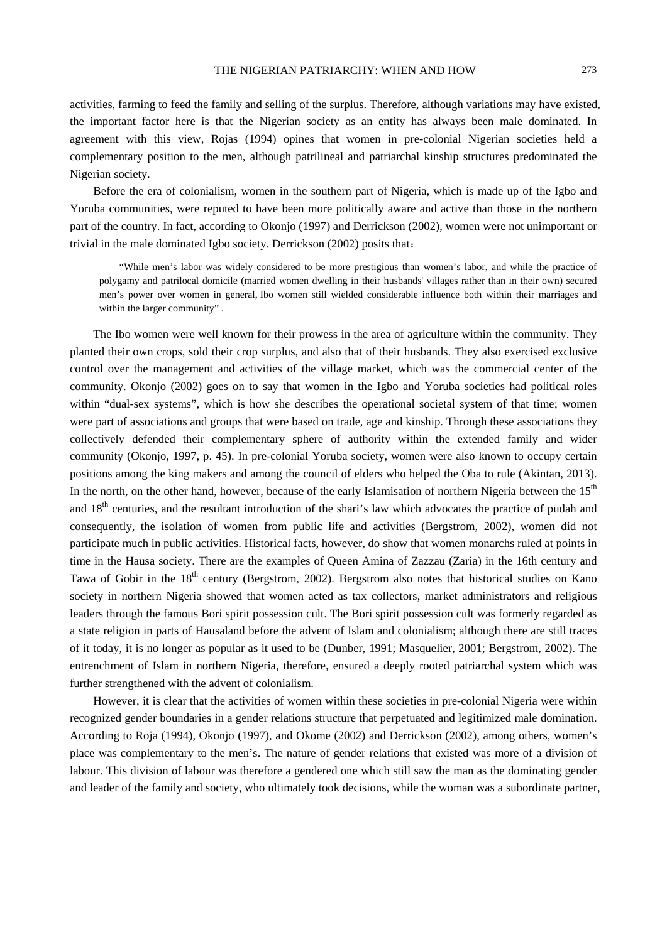activities, farming to feed the family and selling of the surplus. Therefore, although variations may have existed, the important factor here is that the Nigerian society as an entity has always been male dominated. In agreement with this view, Rojas (1994) opines that women in pre-colonial Nigerian societies held a complementary position to the men, although patrilineal and patriarchal kinship structures predominated the Nigerian society.

Before the era of colonialism, women in the southern part of Nigeria, which is made up of the Igbo and Yoruba communities, were reputed to have been more politically aware and active than those in the northern part of the country. In fact, according to Okonjo (1997) and Derrickson (2002), women were not unimportant or trivial in the male dominated Igbo society. Derrickson (2002) posits that:

"While men's labor was widely considered to be more prestigious than women's labor, and while the practice of polygamy and patrilocal domicile (married women dwelling in their husbands' villages rather than in their own) secured men's power over women in general, Ibo women still wielded considerable influence both within their marriages and within the larger community" .

The Ibo women were well known for their prowess in the area of agriculture within the community. They planted their own crops, sold their crop surplus, and also that of their husbands. They also exercised exclusive control over the management and activities of the village market, which was the commercial center of the community. Okonjo (2002) goes on to say that women in the Igbo and Yoruba societies had political roles within "dual-sex systems", which is how she describes the operational societal system of that time; women were part of associations and groups that were based on trade, age and kinship. Through these associations they collectively defended their complementary sphere of authority within the extended family and wider community (Okonjo, 1997, p. 45). In pre-colonial Yoruba society, women were also known to occupy certain positions among the king makers and among the council of elders who helped the Oba to rule (Akintan, 2013). In the north, on the other hand, however, because of the early Islamisation of northern Nigeria between the  $15<sup>th</sup>$ and 18<sup>th</sup> centuries, and the resultant introduction of the shari's law which advocates the practice of pudah and consequently, the isolation of women from public life and activities (Bergstrom, 2002), women did not participate much in public activities. Historical facts, however, do show that women monarchs ruled at points in time in the Hausa society. There are the examples of Queen Amina of Zazzau (Zaria) in the 16th century and Tawa of Gobir in the  $18<sup>th</sup>$  century (Bergstrom, 2002). Bergstrom also notes that historical studies on Kano society in northern Nigeria showed that women acted as tax collectors, market administrators and religious leaders through the famous Bori spirit possession cult. The Bori spirit possession cult was formerly regarded as a state religion in parts of Hausaland before the advent of Islam and colonialism; although there are still traces of it today, it is no longer as popular as it used to be (Dunber, 1991; Masquelier, 2001; Bergstrom, 2002). The entrenchment of Islam in northern Nigeria, therefore, ensured a deeply rooted patriarchal system which was further strengthened with the advent of colonialism.

However, it is clear that the activities of women within these societies in pre-colonial Nigeria were within recognized gender boundaries in a gender relations structure that perpetuated and legitimized male domination. According to Roja (1994), Okonjo (1997), and Okome (2002) and Derrickson (2002), among others, women's place was complementary to the men's. The nature of gender relations that existed was more of a division of labour. This division of labour was therefore a gendered one which still saw the man as the dominating gender and leader of the family and society, who ultimately took decisions, while the woman was a subordinate partner,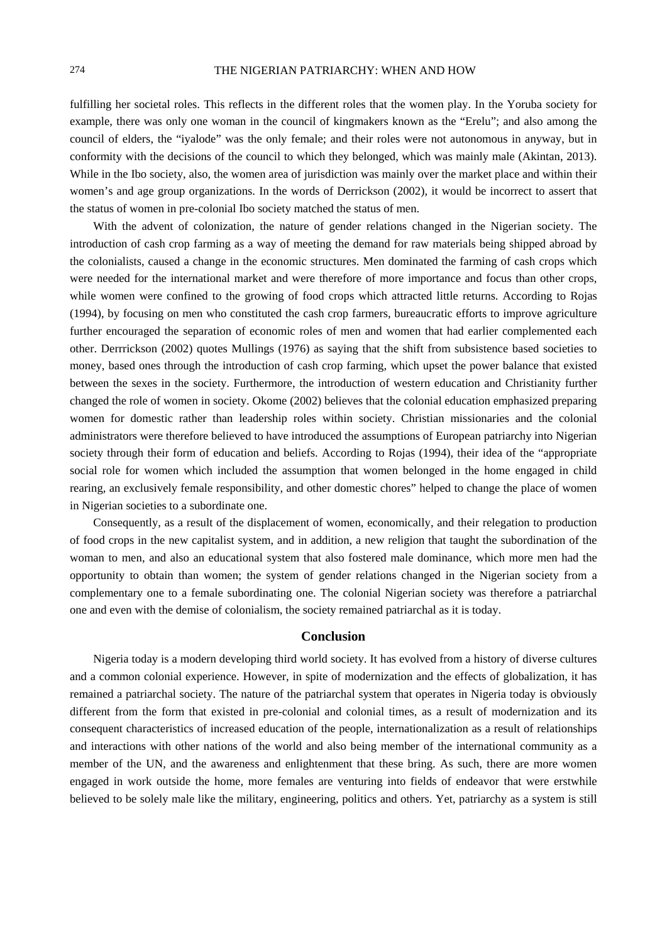fulfilling her societal roles. This reflects in the different roles that the women play. In the Yoruba society for example, there was only one woman in the council of kingmakers known as the "Erelu"; and also among the council of elders, the "iyalode" was the only female; and their roles were not autonomous in anyway, but in conformity with the decisions of the council to which they belonged, which was mainly male (Akintan, 2013). While in the Ibo society, also, the women area of jurisdiction was mainly over the market place and within their women's and age group organizations. In the words of Derrickson (2002), it would be incorrect to assert that the status of women in pre-colonial Ibo society matched the status of men.

With the advent of colonization, the nature of gender relations changed in the Nigerian society. The introduction of cash crop farming as a way of meeting the demand for raw materials being shipped abroad by the colonialists, caused a change in the economic structures. Men dominated the farming of cash crops which were needed for the international market and were therefore of more importance and focus than other crops, while women were confined to the growing of food crops which attracted little returns. According to Rojas (1994), by focusing on men who constituted the cash crop farmers, bureaucratic efforts to improve agriculture further encouraged the separation of economic roles of men and women that had earlier complemented each other. Derrrickson (2002) quotes Mullings (1976) as saying that the shift from subsistence based societies to money, based ones through the introduction of cash crop farming, which upset the power balance that existed between the sexes in the society. Furthermore, the introduction of western education and Christianity further changed the role of women in society. Okome (2002) believes that the colonial education emphasized preparing women for domestic rather than leadership roles within society. Christian missionaries and the colonial administrators were therefore believed to have introduced the assumptions of European patriarchy into Nigerian society through their form of education and beliefs. According to Rojas (1994), their idea of the "appropriate social role for women which included the assumption that women belonged in the home engaged in child rearing, an exclusively female responsibility, and other domestic chores" helped to change the place of women in Nigerian societies to a subordinate one.

Consequently, as a result of the displacement of women, economically, and their relegation to production of food crops in the new capitalist system, and in addition, a new religion that taught the subordination of the woman to men, and also an educational system that also fostered male dominance, which more men had the opportunity to obtain than women; the system of gender relations changed in the Nigerian society from a complementary one to a female subordinating one. The colonial Nigerian society was therefore a patriarchal one and even with the demise of colonialism, the society remained patriarchal as it is today.

# **Conclusion**

Nigeria today is a modern developing third world society. It has evolved from a history of diverse cultures and a common colonial experience. However, in spite of modernization and the effects of globalization, it has remained a patriarchal society. The nature of the patriarchal system that operates in Nigeria today is obviously different from the form that existed in pre-colonial and colonial times, as a result of modernization and its consequent characteristics of increased education of the people, internationalization as a result of relationships and interactions with other nations of the world and also being member of the international community as a member of the UN, and the awareness and enlightenment that these bring. As such, there are more women engaged in work outside the home, more females are venturing into fields of endeavor that were erstwhile believed to be solely male like the military, engineering, politics and others. Yet, patriarchy as a system is still